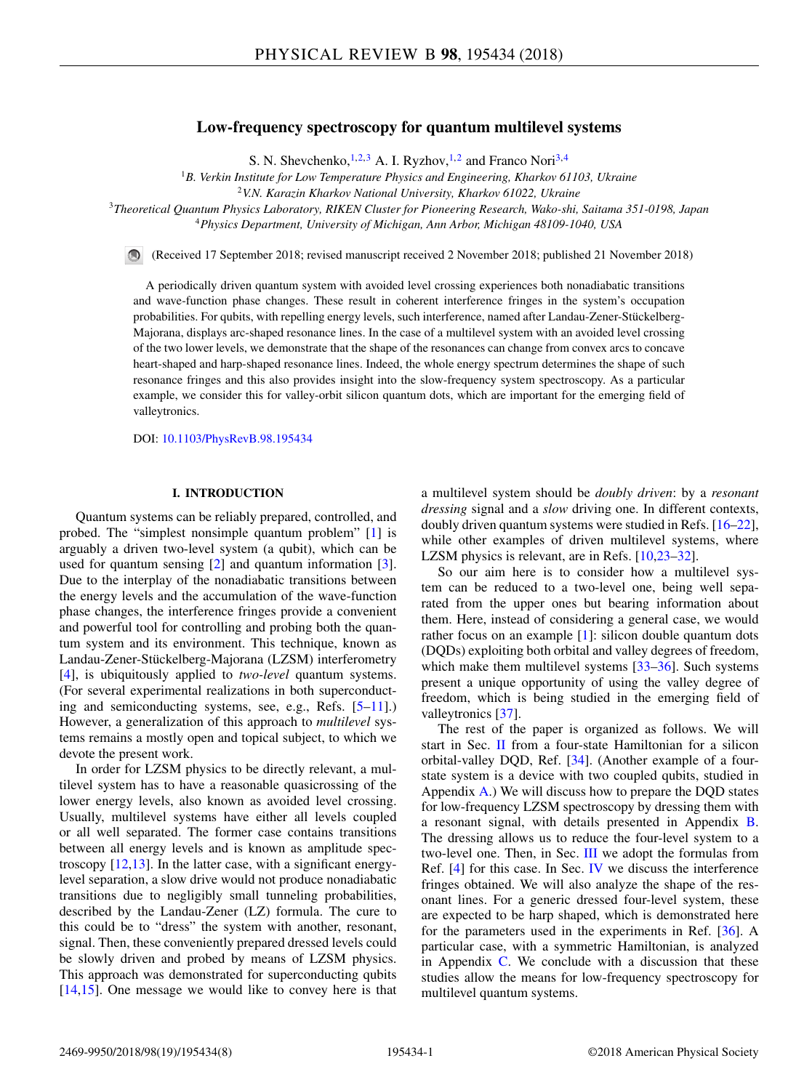# **Low-frequency spectroscopy for quantum multilevel systems**

S. N. Shevchenko,  $^{1,2,3}$  A. I. Ryzhov,  $^{1,2}$  and Franco Nori<sup>3,4</sup>

<sup>1</sup>*B. Verkin Institute for Low Temperature Physics and Engineering, Kharkov 61103, Ukraine*

<sup>3</sup>*Theoretical Quantum Physics Laboratory, RIKEN Cluster for Pioneering Research, Wako-shi, Saitama 351-0198, Japan*

<sup>4</sup>*Physics Department, University of Michigan, Ann Arbor, Michigan 48109-1040, USA*

(Received 17 September 2018; revised manuscript received 2 November 2018; published 21 November 2018)

A periodically driven quantum system with avoided level crossing experiences both nonadiabatic transitions and wave-function phase changes. These result in coherent interference fringes in the system's occupation probabilities. For qubits, with repelling energy levels, such interference, named after Landau-Zener-Stückelberg-Majorana, displays arc-shaped resonance lines. In the case of a multilevel system with an avoided level crossing of the two lower levels, we demonstrate that the shape of the resonances can change from convex arcs to concave heart-shaped and harp-shaped resonance lines. Indeed, the whole energy spectrum determines the shape of such resonance fringes and this also provides insight into the slow-frequency system spectroscopy. As a particular example, we consider this for valley-orbit silicon quantum dots, which are important for the emerging field of valleytronics.

DOI: [10.1103/PhysRevB.98.195434](https://doi.org/10.1103/PhysRevB.98.195434)

#### **I. INTRODUCTION**

Quantum systems can be reliably prepared, controlled, and probed. The "simplest nonsimple quantum problem" [\[1\]](#page-6-0) is arguably a driven two-level system (a qubit), which can be used for quantum sensing [\[2\]](#page-6-0) and quantum information [\[3\]](#page-6-0). Due to the interplay of the nonadiabatic transitions between the energy levels and the accumulation of the wave-function phase changes, the interference fringes provide a convenient and powerful tool for controlling and probing both the quantum system and its environment. This technique, known as Landau-Zener-Stückelberg-Majorana (LZSM) interferometry [\[4\]](#page-6-0), is ubiquitously applied to *two-level* quantum systems. (For several experimental realizations in both superconducting and semiconducting systems, see, e.g., Refs. [\[5–11\]](#page-6-0).) However, a generalization of this approach to *multilevel* systems remains a mostly open and topical subject, to which we devote the present work.

In order for LZSM physics to be directly relevant, a multilevel system has to have a reasonable quasicrossing of the lower energy levels, also known as avoided level crossing. Usually, multilevel systems have either all levels coupled or all well separated. The former case contains transitions between all energy levels and is known as amplitude spectroscopy [\[12,13\]](#page-6-0). In the latter case, with a significant energylevel separation, a slow drive would not produce nonadiabatic transitions due to negligibly small tunneling probabilities, described by the Landau-Zener (LZ) formula. The cure to this could be to "dress" the system with another, resonant, signal. Then, these conveniently prepared dressed levels could be slowly driven and probed by means of LZSM physics. This approach was demonstrated for superconducting qubits [\[14,15\]](#page-6-0). One message we would like to convey here is that a multilevel system should be *doubly driven*: by a *resonant dressing* signal and a *slow* driving one. In different contexts, doubly driven quantum systems were studied in Refs. [\[16–22\]](#page-6-0), while other examples of driven multilevel systems, where LZSM physics is relevant, are in Refs. [\[10,23–32\]](#page-6-0).

So our aim here is to consider how a multilevel system can be reduced to a two-level one, being well separated from the upper ones but bearing information about them. Here, instead of considering a general case, we would rather focus on an example [\[1\]](#page-6-0): silicon double quantum dots (DQDs) exploiting both orbital and valley degrees of freedom, which make them multilevel systems [\[33–](#page-6-0)[36\]](#page-7-0). Such systems present a unique opportunity of using the valley degree of freedom, which is being studied in the emerging field of valleytronics [\[37\]](#page-7-0).

The rest of the paper is organized as follows. We will start in Sec. [II](#page-1-0) from a four-state Hamiltonian for a silicon orbital-valley DQD, Ref. [\[34\]](#page-6-0). (Another example of a fourstate system is a device with two coupled qubits, studied in Appendix  $\bf{A}$ .) We will discuss how to prepare the DQD states for low-frequency LZSM spectroscopy by dressing them with a resonant signal, with details presented in Appendix [B.](#page-4-0) The dressing allows us to reduce the four-level system to a two-level one. Then, in Sec. [III](#page-2-0) we adopt the formulas from Ref. [\[4\]](#page-6-0) for this case. In Sec. [IV](#page-2-0) we discuss the interference fringes obtained. We will also analyze the shape of the resonant lines. For a generic dressed four-level system, these are expected to be harp shaped, which is demonstrated here for the parameters used in the experiments in Ref. [\[36\]](#page-7-0). A particular case, with a symmetric Hamiltonian, is analyzed in Appendix  $C$ . We conclude with a discussion that these studies allow the means for low-frequency spectroscopy for multilevel quantum systems.

<sup>2</sup>*V.N. Karazin Kharkov National University, Kharkov 61022, Ukraine*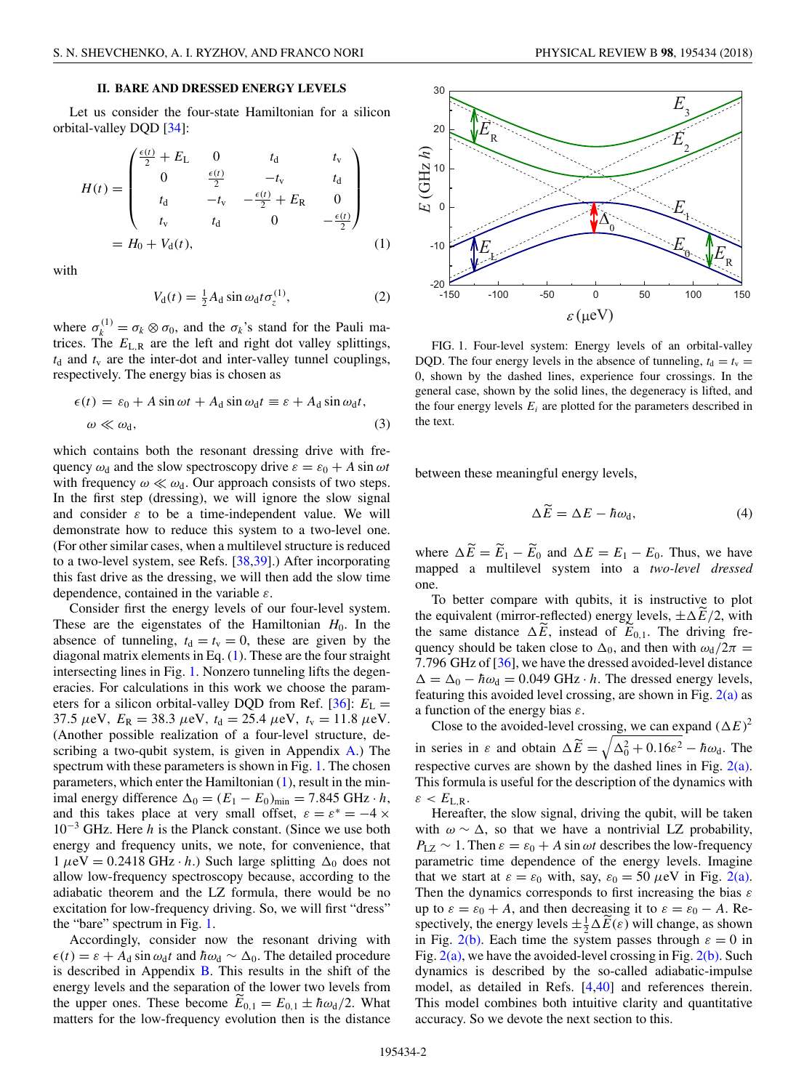## **II. BARE AND DRESSED ENERGY LEVELS**

<span id="page-1-0"></span>Let us consider the four-state Hamiltonian for a silicon orbital-valley DQD [\[34\]](#page-6-0):

$$
H(t) = \begin{pmatrix} \frac{\epsilon(t)}{2} + E_{\text{L}} & 0 & t_{\text{d}} & t_{\text{v}} \\ 0 & \frac{\epsilon(t)}{2} & -t_{\text{v}} & t_{\text{d}} \\ t_{\text{d}} & -t_{\text{v}} & -\frac{\epsilon(t)}{2} + E_{\text{R}} & 0 \\ t_{\text{v}} & t_{\text{d}} & 0 & -\frac{\epsilon(t)}{2} \end{pmatrix}
$$
  
=  $H_0 + V_d(t)$ , (1)

with

$$
V_{\rm d}(t) = \frac{1}{2} A_{\rm d} \sin \omega_{\rm d} t \sigma_z^{(1)},\tag{2}
$$

where  $\sigma_k^{(1)} = \sigma_k \otimes \sigma_0$ , and the  $\sigma_k$ 's stand for the Pauli matrices. The  $E_{L,R}$  are the left and right dot valley splittings,  $t<sub>d</sub>$  and  $t<sub>v</sub>$  are the inter-dot and inter-valley tunnel couplings, respectively. The energy bias is chosen as

$$
\epsilon(t) = \epsilon_0 + A \sin \omega t + A_d \sin \omega_d t \equiv \epsilon + A_d \sin \omega_d t,
$$
  
\n
$$
\omega \ll \omega_d,
$$
\n(3)

which contains both the resonant dressing drive with frequency  $\omega_d$  and the slow spectroscopy drive  $\varepsilon = \varepsilon_0 + A \sin \omega t$ with frequency  $\omega \ll \omega_d$ . Our approach consists of two steps. In the first step (dressing), we will ignore the slow signal and consider *ε* to be a time-independent value. We will demonstrate how to reduce this system to a two-level one. (For other similar cases, when a multilevel structure is reduced to a two-level system, see Refs. [\[38,39\]](#page-7-0).) After incorporating this fast drive as the dressing, we will then add the slow time dependence, contained in the variable *ε*.

Consider first the energy levels of our four-level system. These are the eigenstates of the Hamiltonian  $H_0$ . In the absence of tunneling,  $t_d = t_v = 0$ , these are given by the diagonal matrix elements in Eq. (1). These are the four straight intersecting lines in Fig. 1. Nonzero tunneling lifts the degeneracies. For calculations in this work we choose the parameters for a silicon orbital-valley DQD from Ref.  $[36]$ :  $E<sub>L</sub>$  = 37.5  $\mu$ eV,  $E_R = 38.3 \mu$ eV,  $t_d = 25.4 \mu$ eV,  $t_v = 11.8 \mu$ eV. (Another possible realization of a four-level structure, describing a two-qubit system, is given in Appendix [A.](#page-3-0)) The spectrum with these parameters is shown in Fig. 1. The chosen parameters, which enter the Hamiltonian  $(1)$ , result in the minimal energy difference  $\Delta_0 = (E_1 - E_0)_{\text{min}} = 7.845 \text{ GHz} \cdot h$ , and this takes place at very small offset,  $\varepsilon = \varepsilon^* = -4 \times$ 10−<sup>3</sup> GHz. Here *h* is the Planck constant. (Since we use both energy and frequency units, we note, for convenience, that  $1 \mu$ eV = 0.2418 GHz · *h*.) Such large splitting  $\Delta_0$  does not allow low-frequency spectroscopy because, according to the adiabatic theorem and the LZ formula, there would be no excitation for low-frequency driving. So, we will first "dress" the "bare" spectrum in Fig. 1.

Accordingly, consider now the resonant driving with  $\epsilon(t) = \epsilon + A_d \sin \omega_d t$  and  $\hbar \omega_d \sim \Delta_0$ . The detailed procedure is described in Appendix [B.](#page-4-0) This results in the shift of the energy levels and the separation of the lower two levels from the upper ones. These become  $E_{0,1} = E_{0,1} \pm \hbar \omega_d/2$ . What matters for the low-frequency evolution then is the distance



FIG. 1. Four-level system: Energy levels of an orbital-valley DQD. The four energy levels in the absence of tunneling,  $t_d = t_v$  = 0, shown by the dashed lines, experience four crossings. In the general case, shown by the solid lines, the degeneracy is lifted, and the four energy levels  $E_i$  are plotted for the parameters described in the text.

between these meaningful energy levels,

$$
\Delta \widetilde{E} = \Delta E - \hbar \omega_{\rm d},\tag{4}
$$

where  $\Delta E = E_1 - E_0$  and  $\Delta E = E_1 - E_0$ . Thus, we have mapped a multilevel system into a *two-level dressed* one.

To better compare with qubits, it is instructive to plot the equivalent (mirror-reflected) energy levels,  $\pm \Delta E/2$ , with the came distance  $\Delta \tilde{E}$  instead of  $\tilde{E}$  . The division from the same distance  $\Delta E$ , instead of  $E_{0,1}$ . The driving frequency should be taken close to  $\Delta_0$ , and then with  $\omega_d/2\pi$  = 7*.*796 GHz of [\[36\]](#page-7-0), we have the dressed avoided-level distance  $\Delta = \Delta_0 - \hbar \omega_d = 0.049$  GHz · *h*. The dressed energy levels, featuring this avoided level crossing, are shown in Fig.  $2(a)$  as a function of the energy bias *ε*.

Close to the avoided-level crossing, we can expand  $(\Delta E)^2$ in series in *ε* and obtain  $\Delta \widetilde{E} = \sqrt{\Delta_0^2 + 0.16\varepsilon^2} - \hbar \omega_d$ . The respective curves are shown by the dashed lines in Fig. [2\(a\).](#page-2-0) This formula is useful for the description of the dynamics with  $\varepsilon < E_{\text{L.R.}}$ 

Hereafter, the slow signal, driving the qubit, will be taken with  $\omega \sim \Delta$ , so that we have a nontrivial LZ probability,  $P_{\text{LZ}} \sim 1$ . Then  $\varepsilon = \varepsilon_0 + A \sin \omega t$  describes the low-frequency parametric time dependence of the energy levels. Imagine that we start at  $\varepsilon = \varepsilon_0$  with, say,  $\varepsilon_0 = 50 \,\mu\text{eV}$  in Fig. [2\(a\).](#page-2-0) Then the dynamics corresponds to first increasing the bias *ε* up to  $\varepsilon = \varepsilon_0 + A$ , and then decreasing it to  $\varepsilon = \varepsilon_0 - A$ . Respectively, the energy levels  $\pm \frac{1}{2} \Delta \widetilde{E}(\varepsilon)$  will change, as shown in Fig. [2\(b\).](#page-2-0) Each time the system passes through  $\varepsilon = 0$  in Fig.  $2(a)$ , we have the avoided-level crossing in Fig.  $2(b)$ . Such dynamics is described by the so-called adiabatic-impulse model, as detailed in Refs. [\[4](#page-6-0)[,40\]](#page-7-0) and references therein. This model combines both intuitive clarity and quantitative accuracy. So we devote the next section to this.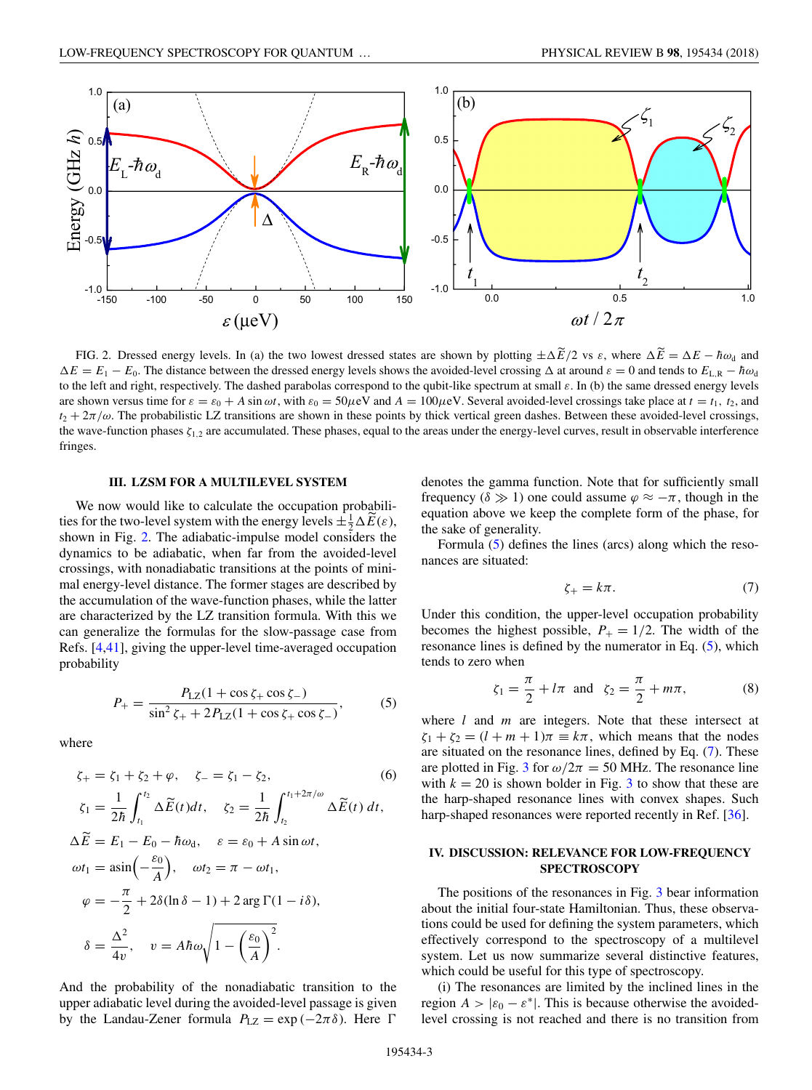<span id="page-2-0"></span>

FIG. 2. Dressed energy levels. In (a) the two lowest dressed states are shown by plotting  $\pm \Delta E/2$  vs  $\varepsilon$ , where  $\Delta E = \Delta E - \hbar \omega_d$  and  $\Delta E = E_1 - E_0$ . The distance between the dressed energy levels shows the avoided-level crossing  $\Delta$  at around  $\varepsilon = 0$  and tends to  $E_{L,R} - \hbar \omega_d$ to the left and right, respectively. The dashed parabolas correspond to the qubit-like spectrum at small *ε*. In (b) the same dressed energy levels are shown versus time for  $\varepsilon = \varepsilon_0 + A \sin \omega t$ , with  $\varepsilon_0 = 50 \mu \text{eV}$  and  $A = 100 \mu \text{eV}$ . Several avoided-level crossings take place at  $t = t_1, t_2$ , and  $t_2 + 2\pi/\omega$ . The probabilistic LZ transitions are shown in these points by thick vertical green dashes. Between these avoided-level crossings, the wave-function phases  $ζ<sub>1,2</sub>$  are accumulated. These phases, equal to the areas under the energy-level curves, result in observable interference fringes.

#### **III. LZSM FOR A MULTILEVEL SYSTEM**

We now would like to calculate the occupation probabilities for the two-level system with the energy levels  $\pm \frac{1}{2} \Delta \widetilde{E}(\varepsilon)$ , shown in Fig. 2. The adiabatic-impulse model considers the dynamics to be adiabatic, when far from the avoided-level crossings, with nonadiabatic transitions at the points of minimal energy-level distance. The former stages are described by the accumulation of the wave-function phases, while the latter are characterized by the LZ transition formula. With this we can generalize the formulas for the slow-passage case from Refs. [\[4,](#page-6-0)[41\]](#page-7-0), giving the upper-level time-averaged occupation probability

$$
P_{+} = \frac{P_{\rm LZ}(1 + \cos \zeta_{+} \cos \zeta_{-})}{\sin^2 \zeta_{+} + 2P_{\rm LZ}(1 + \cos \zeta_{+} \cos \zeta_{-})},\tag{5}
$$

where

$$
\zeta_{+} = \zeta_{1} + \zeta_{2} + \varphi, \quad \zeta_{-} = \zeta_{1} - \zeta_{2}, \tag{6}
$$
\n
$$
\zeta_{1} = \frac{1}{2\hbar} \int_{t_{1}}^{t_{2}} \Delta \widetilde{E}(t) dt, \quad \zeta_{2} = \frac{1}{2\hbar} \int_{t_{2}}^{t_{1} + 2\pi/\omega} \Delta \widetilde{E}(t) dt,
$$
\n
$$
\Delta \widetilde{E} = E_{1} - E_{0} - \hbar \omega_{d}, \quad \varepsilon = \varepsilon_{0} + A \sin \omega t,
$$
\n
$$
\omega t_{1} = \operatorname{asin}\left(-\frac{\varepsilon_{0}}{A}\right), \quad \omega t_{2} = \pi - \omega t_{1}, \quad \varphi = -\frac{\pi}{2} + 2\delta(\ln \delta - 1) + 2 \operatorname{arg} \Gamma(1 - i\delta), \quad \delta = \frac{\Delta^{2}}{4\upsilon}, \quad \upsilon = A\hbar\omega\sqrt{1 - \left(\frac{\varepsilon_{0}}{A}\right)^{2}}.
$$

And the probability of the nonadiabatic transition to the upper adiabatic level during the avoided-level passage is given by the Landau-Zener formula  $P_{\text{LZ}} = \exp(-2\pi\delta)$ . Here  $\Gamma$ 

denotes the gamma function. Note that for sufficiently small frequency ( $\delta \gg 1$ ) one could assume  $\varphi \approx -\pi$ , though in the equation above we keep the complete form of the phase, for the sake of generality.

Formula (5) defines the lines (arcs) along which the resonances are situated:

$$
\zeta_{+} = k\pi. \tag{7}
$$

Under this condition, the upper-level occupation probability becomes the highest possible,  $P_+ = 1/2$ . The width of the resonance lines is defined by the numerator in Eq.  $(5)$ , which tends to zero when

$$
\zeta_1 = \frac{\pi}{2} + l\pi \text{ and } \zeta_2 = \frac{\pi}{2} + m\pi,
$$
 (8)

where *l* and *m* are integers. Note that these intersect at  $\zeta_1 + \zeta_2 = (l + m + 1)\pi \equiv k\pi$ , which means that the nodes are situated on the resonance lines, defined by Eq. (7). These are plotted in Fig. [3](#page-3-0) for  $\omega/2\pi = 50$  MHz. The resonance line with  $k = 20$  is shown bolder in Fig. [3](#page-3-0) to show that these are the harp-shaped resonance lines with convex shapes. Such harp-shaped resonances were reported recently in Ref. [\[36\]](#page-7-0).

## **IV. DISCUSSION: RELEVANCE FOR LOW-FREQUENCY SPECTROSCOPY**

The positions of the resonances in Fig. [3](#page-3-0) bear information about the initial four-state Hamiltonian. Thus, these observations could be used for defining the system parameters, which effectively correspond to the spectroscopy of a multilevel system. Let us now summarize several distinctive features, which could be useful for this type of spectroscopy.

(i) The resonances are limited by the inclined lines in the region  $A > |\varepsilon_0 - \varepsilon^*|$ . This is because otherwise the avoidedlevel crossing is not reached and there is no transition from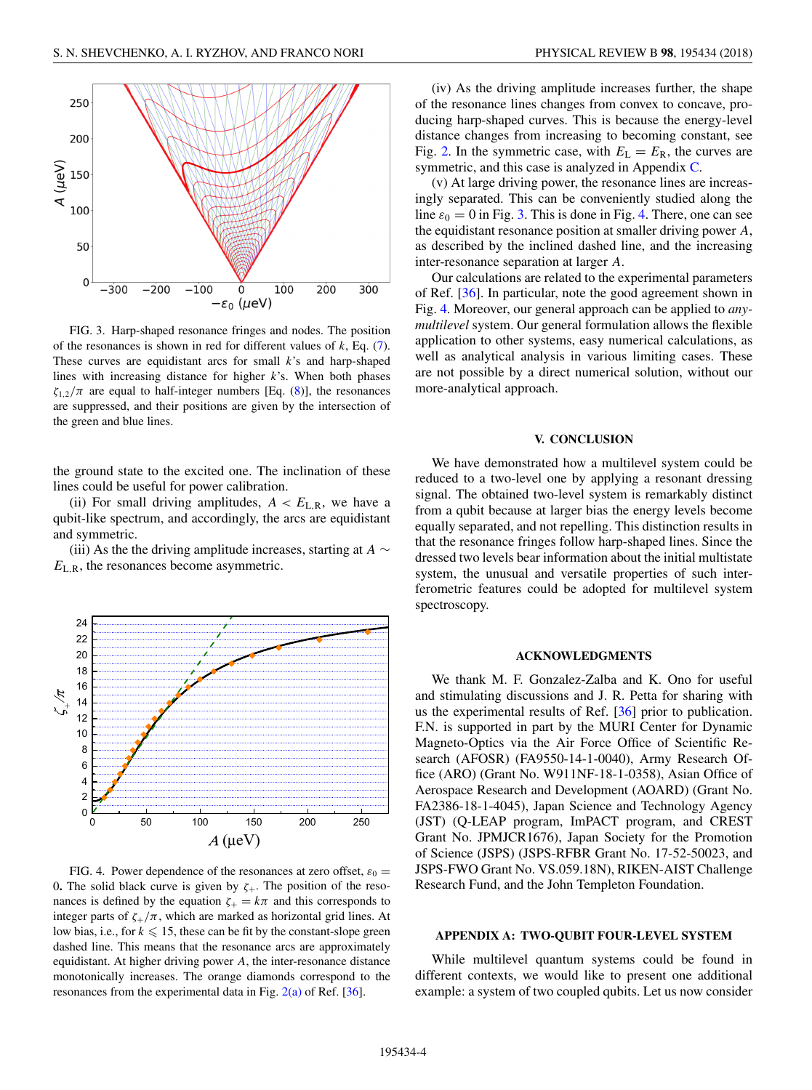<span id="page-3-0"></span>

FIG. 3. Harp-shaped resonance fringes and nodes. The position of the resonances is shown in red for different values of *k*, Eq. [\(7\)](#page-2-0). These curves are equidistant arcs for small *k*'s and harp-shaped lines with increasing distance for higher *k*'s. When both phases  $\zeta_{1,2}/\pi$  are equal to half-integer numbers [Eq. [\(8\)](#page-2-0)], the resonances are suppressed, and their positions are given by the intersection of the green and blue lines.

the ground state to the excited one. The inclination of these lines could be useful for power calibration.

(ii) For small driving amplitudes,  $A < E_{L,R}$ , we have a qubit-like spectrum, and accordingly, the arcs are equidistant and symmetric.

(iii) As the the driving amplitude increases, starting at *A* ∼ *E*L*,*R, the resonances become asymmetric.



FIG. 4. Power dependence of the resonances at zero offset,  $\varepsilon_0$  = 0. The solid black curve is given by  $\zeta$ <sub>+</sub>. The position of the resonances is defined by the equation  $\zeta_{+} = k\pi$  and this corresponds to integer parts of  $\zeta_{+}/\pi$ , which are marked as horizontal grid lines. At low bias, i.e., for  $k \leq 15$ , these can be fit by the constant-slope green dashed line. This means that the resonance arcs are approximately equidistant. At higher driving power *A*, the inter-resonance distance monotonically increases. The orange diamonds correspond to the resonances from the experimental data in Fig. [2\(a\)](#page-2-0) of Ref. [\[36\]](#page-7-0).

(iv) As the driving amplitude increases further, the shape of the resonance lines changes from convex to concave, producing harp-shaped curves. This is because the energy-level distance changes from increasing to becoming constant, see Fig. [2.](#page-2-0) In the symmetric case, with  $E_L = E_R$ , the curves are symmetric, and this case is analyzed in Appendix [C.](#page-5-0)

(v) At large driving power, the resonance lines are increasingly separated. This can be conveniently studied along the line  $\varepsilon_0 = 0$  in Fig. 3. This is done in Fig. 4. There, one can see the equidistant resonance position at smaller driving power *A*, as described by the inclined dashed line, and the increasing inter-resonance separation at larger *A*.

Our calculations are related to the experimental parameters of Ref. [\[36\]](#page-7-0). In particular, note the good agreement shown in Fig. 4. Moreover, our general approach can be applied to *anymultilevel* system. Our general formulation allows the flexible application to other systems, easy numerical calculations, as well as analytical analysis in various limiting cases. These are not possible by a direct numerical solution, without our more-analytical approach.

### **V. CONCLUSION**

We have demonstrated how a multilevel system could be reduced to a two-level one by applying a resonant dressing signal. The obtained two-level system is remarkably distinct from a qubit because at larger bias the energy levels become equally separated, and not repelling. This distinction results in that the resonance fringes follow harp-shaped lines. Since the dressed two levels bear information about the initial multistate system, the unusual and versatile properties of such interferometric features could be adopted for multilevel system spectroscopy.

#### **ACKNOWLEDGMENTS**

We thank M. F. Gonzalez-Zalba and K. Ono for useful and stimulating discussions and J. R. Petta for sharing with us the experimental results of Ref. [\[36\]](#page-7-0) prior to publication. F.N. is supported in part by the MURI Center for Dynamic Magneto-Optics via the Air Force Office of Scientific Research (AFOSR) (FA9550-14-1-0040), Army Research Office (ARO) (Grant No. W911NF-18-1-0358), Asian Office of Aerospace Research and Development (AOARD) (Grant No. FA2386-18-1-4045), Japan Science and Technology Agency (JST) (Q-LEAP program, ImPACT program, and CREST Grant No. JPMJCR1676), Japan Society for the Promotion of Science (JSPS) (JSPS-RFBR Grant No. 17-52-50023, and JSPS-FWO Grant No. VS.059.18N), RIKEN-AIST Challenge Research Fund, and the John Templeton Foundation.

#### **APPENDIX A: TWO-QUBIT FOUR-LEVEL SYSTEM**

While multilevel quantum systems could be found in different contexts, we would like to present one additional example: a system of two coupled qubits. Let us now consider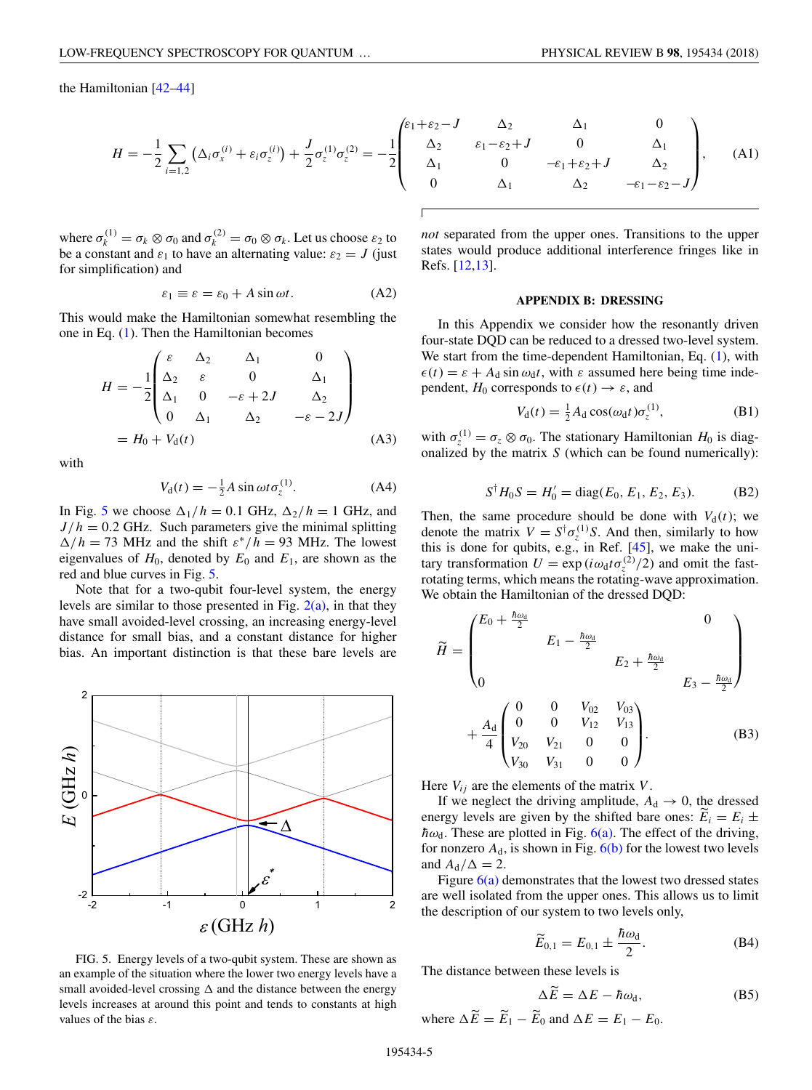<span id="page-4-0"></span>the Hamiltonian [\[42–44\]](#page-7-0)

$$
H = -\frac{1}{2} \sum_{i=1,2} \left( \Delta_i \sigma_x^{(i)} + \varepsilon_i \sigma_z^{(i)} \right) + \frac{J}{2} \sigma_z^{(1)} \sigma_z^{(2)} = -\frac{1}{2} \begin{pmatrix} \varepsilon_1 + \varepsilon_2 - \varepsilon_1 \\ \Delta_2 \\ \Delta_1 \\ 0 \end{pmatrix}
$$

where  $\sigma_k^{(1)} = \sigma_k \otimes \sigma_0$  and  $\sigma_k^{(2)} = \sigma_0 \otimes \sigma_k$ . Let us choose  $\varepsilon_2$  to be a constant and  $\varepsilon_1$  to have an alternating value:  $\varepsilon_2 = J$  (just for simplification) and

$$
\varepsilon_1 \equiv \varepsilon = \varepsilon_0 + A \sin \omega t. \tag{A2}
$$

This would make the Hamiltonian somewhat resembling the one in Eq. [\(1\)](#page-1-0). Then the Hamiltonian becomes

$$
H = -\frac{1}{2} \begin{pmatrix} \varepsilon & \Delta_2 & \Delta_1 & 0 \\ \Delta_2 & \varepsilon & 0 & \Delta_1 \\ \Delta_1 & 0 & -\varepsilon + 2J & \Delta_2 \\ 0 & \Delta_1 & \Delta_2 & -\varepsilon - 2J \end{pmatrix}
$$
  
=  $H_0 + V_d(t)$  (A3)

with

$$
V_{\rm d}(t) = -\frac{1}{2}A\sin\omega t \sigma_z^{(1)}.
$$
 (A4)

In Fig. 5 we choose  $\Delta_1/h = 0.1$  GHz,  $\Delta_2/h = 1$  GHz, and  $J/h = 0.2$  GHz. Such parameters give the minimal splitting  $\Delta/h = 73$  MHz and the shift  $\varepsilon^*/h = 93$  MHz. The lowest eigenvalues of  $H_0$ , denoted by  $E_0$  and  $E_1$ , are shown as the red and blue curves in Fig. 5.

Note that for a two-qubit four-level system, the energy levels are similar to those presented in Fig.  $2(a)$ , in that they have small avoided-level crossing, an increasing energy-level distance for small bias, and a constant distance for higher bias. An important distinction is that these bare levels are



FIG. 5. Energy levels of a two-qubit system. These are shown as an example of the situation where the lower two energy levels have a small avoided-level crossing  $\Delta$  and the distance between the energy levels increases at around this point and tends to constants at high values of the bias *ε*.

$$
\begin{array}{cccc}\n\kappa_1 + \varepsilon_2 - J & \Delta_2 & \Delta_1 & 0 \\
\Delta_2 & \varepsilon_1 - \varepsilon_2 + J & 0 & \Delta_1 \\
\Delta_1 & 0 & -\varepsilon_1 + \varepsilon_2 + J & \Delta_2 \\
0 & \Delta_1 & \Delta_2 & -\varepsilon_1 - \varepsilon_2 - J\n\end{array}
$$
\n(A1)

*not* separated from the upper ones. Transitions to the upper states would produce additional interference fringes like in Refs. [\[12,13\]](#page-6-0).

#### **APPENDIX B: DRESSING**

In this Appendix we consider how the resonantly driven four-state DQD can be reduced to a dressed two-level system. We start from the time-dependent Hamiltonian, Eq. [\(1\)](#page-1-0), with  $\epsilon(t) = \epsilon + A_d \sin \omega_d t$ , with  $\epsilon$  assumed here being time independent,  $H_0$  corresponds to  $\epsilon(t) \to \epsilon$ , and

$$
V_{\mathbf{d}}(t) = \frac{1}{2} A_{\mathbf{d}} \cos(\omega_{\mathbf{d}} t) \sigma_z^{(1)},
$$
 (B1)

with  $\sigma_z^{(1)} = \sigma_z \otimes \sigma_0$ . The stationary Hamiltonian *H*<sub>0</sub> is diagonalized by the matrix *S* (which can be found numerically):

$$
S^{\dagger}H_0S = H'_0 = \text{diag}(E_0, E_1, E_2, E_3). \tag{B2}
$$

Then, the same procedure should be done with  $V<sub>d</sub>(t)$ ; we denote the matrix  $V = S^{\dagger} \sigma_z^{(1)} S$ . And then, similarly to how this is done for qubits, e.g., in Ref.  $[45]$ , we make the unitary transformation  $U = \exp(i\omega_d t \sigma_z^{(2)}/2)$  and omit the fastrotating terms, which means the rotating-wave approximation. We obtain the Hamiltonian of the dressed DQD:

$$
\widetilde{H} = \begin{pmatrix}\nE_0 + \frac{\hbar \omega_d}{2} & & & & & 0 \\
& E_1 - \frac{\hbar \omega_d}{2} & & & & \\
& & E_2 + \frac{\hbar \omega_d}{2} & & \\
& & & E_3 - \frac{\hbar \omega_d}{2}\n\end{pmatrix}\n+ \frac{A_d}{4} \begin{pmatrix}\n0 & 0 & V_{02} & V_{03} \\
0 & 0 & V_{12} & V_{13} \\
V_{20} & V_{21} & 0 & 0 \\
V_{30} & V_{31} & 0 & 0\n\end{pmatrix}.
$$
\n(B3)

Here  $V_{ij}$  are the elements of the matrix  $V$ .

If we neglect the driving amplitude,  $A_d \rightarrow 0$ , the dressed energy levels are given by the shifted bare ones:  $E_i = E_i \pm \hbar \omega$ . These are platted in Fig.  $f(\omega)$ . The offset of the driving  $\hbar \omega_d$ . These are plotted in Fig.  $6(a)$ . The effect of the driving, for nonzero  $A_d$ , is shown in Fig.  $6(b)$  for the lowest two levels and  $A_d/\Delta = 2$ .

Figure  $6(a)$  demonstrates that the lowest two dressed states are well isolated from the upper ones. This allows us to limit the description of our system to two levels only,

$$
\widetilde{E}_{0,1} = E_{0,1} \pm \frac{\hbar \omega_d}{2}.
$$
 (B4)

The distance between these levels is

$$
\Delta \overline{E} = \Delta E - \hbar \omega_{d}, \tag{B5}
$$

where 
$$
\Delta \widetilde{E} = \widetilde{E}_1 - \widetilde{E}_0
$$
 and  $\Delta E = E_1 - E_0$ .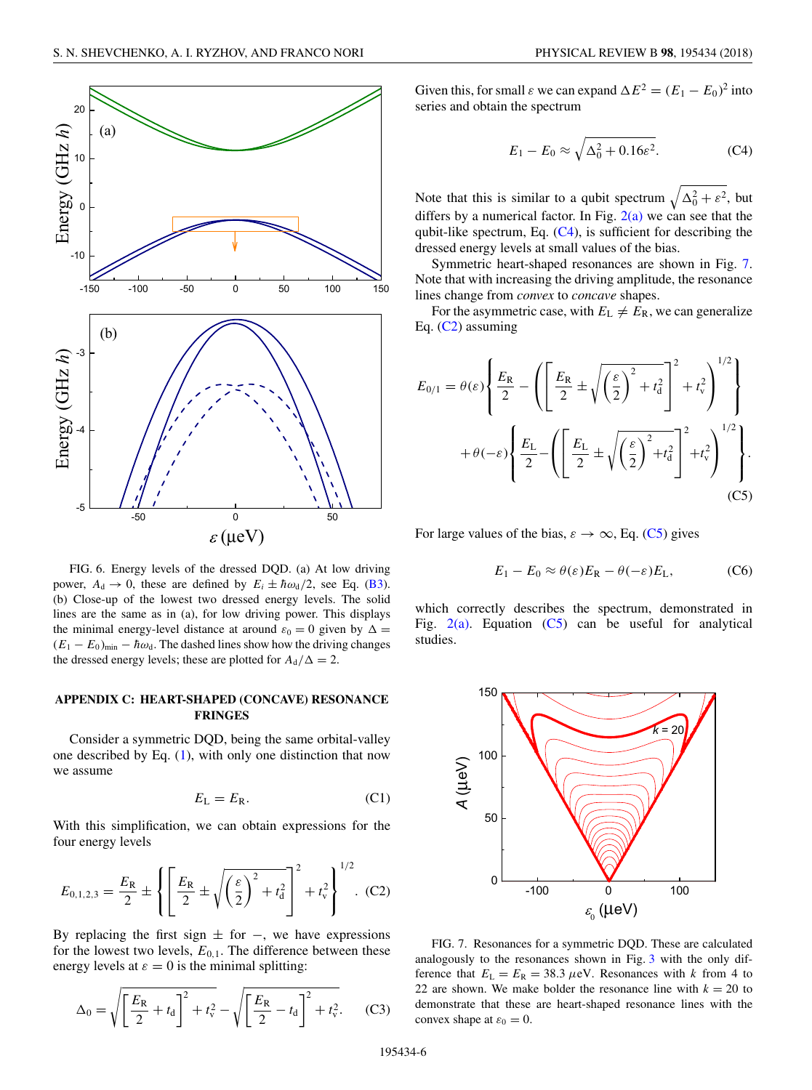<span id="page-5-0"></span>

FIG. 6. Energy levels of the dressed DQD. (a) At low driving power,  $A_d \rightarrow 0$ , these are defined by  $E_i \pm \hbar \omega_d/2$ , see Eq. [\(B3\)](#page-4-0). (b) Close-up of the lowest two dressed energy levels. The solid lines are the same as in (a), for low driving power. This displays the minimal energy-level distance at around  $\varepsilon_0 = 0$  given by  $\Delta =$  $(E_1 - E_0)_{\text{min}} - \hbar \omega_d$ . The dashed lines show how the driving changes the dressed energy levels; these are plotted for  $A_d/\Delta = 2$ .

# **APPENDIX C: HEART-SHAPED (CONCAVE) RESONANCE FRINGES**

Consider a symmetric DQD, being the same orbital-valley one described by Eq. [\(1\)](#page-1-0), with only one distinction that now we assume

$$
E_{\rm L} = E_{\rm R}.\tag{C1}
$$

With this simplification, we can obtain expressions for the four energy levels

$$
E_{0,1,2,3} = \frac{E_{\rm R}}{2} \pm \left\{ \left[ \frac{E_{\rm R}}{2} \pm \sqrt{\left(\frac{\varepsilon}{2}\right)^2 + t_{\rm d}^2} \right]^2 + t_{\rm v}^2 \right\}^{1/2}.
$$
 (C2)

By replacing the first sign  $\pm$  for  $-$ , we have expressions for the lowest two levels,  $E_{0,1}$ . The difference between these energy levels at  $\varepsilon = 0$  is the minimal splitting:

$$
\Delta_0 = \sqrt{\left[\frac{E_R}{2} + t_d\right]^2 + t_v^2} - \sqrt{\left[\frac{E_R}{2} - t_d\right]^2 + t_v^2}.
$$
 (C3)

Given this, for small  $\varepsilon$  we can expand  $\Delta E^2 = (E_1 - E_0)^2$  into series and obtain the spectrum

$$
E_1 - E_0 \approx \sqrt{\Delta_0^2 + 0.16\varepsilon^2}.
$$
 (C4)

Note that this is similar to a qubit spectrum  $\sqrt{\Delta_0^2 + \varepsilon^2}$ , but differs by a numerical factor. In Fig.  $2(a)$  we can see that the qubit-like spectrum, Eq.  $(C4)$ , is sufficient for describing the dressed energy levels at small values of the bias.

Symmetric heart-shaped resonances are shown in Fig. 7. Note that with increasing the driving amplitude, the resonance lines change from *convex* to *concave* shapes.

For the asymmetric case, with  $E_L \neq E_R$ , we can generalize Eq. (C2) assuming

$$
E_{0/1} = \theta(\varepsilon) \left\{ \frac{E_{\rm R}}{2} - \left( \left[ \frac{E_{\rm R}}{2} \pm \sqrt{\left(\frac{\varepsilon}{2}\right)^2 + t_{\rm d}^2} \right]^2 + t_{\rm v}^2 \right)^{1/2} \right\}
$$

$$
+ \theta(-\varepsilon) \left\{ \frac{E_{\rm L}}{2} - \left( \left[ \frac{E_{\rm L}}{2} \pm \sqrt{\left(\frac{\varepsilon}{2}\right)^2 + t_{\rm d}^2} \right]^2 + t_{\rm v}^2 \right)^{1/2} \right\}.
$$
(C5)

For large values of the bias,  $\varepsilon \to \infty$ , Eq. (C5) gives

$$
E_1 - E_0 \approx \theta(\varepsilon) E_{\rm R} - \theta(-\varepsilon) E_{\rm L}, \tag{C6}
$$

which correctly describes the spectrum, demonstrated in Fig.  $2(a)$ . Equation (C5) can be useful for analytical studies.



FIG. 7. Resonances for a symmetric DQD. These are calculated analogously to the resonances shown in Fig. [3](#page-3-0) with the only difference that  $E_L = E_R = 38.3 \mu eV$ . Resonances with *k* from 4 to 22 are shown. We make bolder the resonance line with  $k = 20$  to demonstrate that these are heart-shaped resonance lines with the convex shape at  $\varepsilon_0 = 0$ .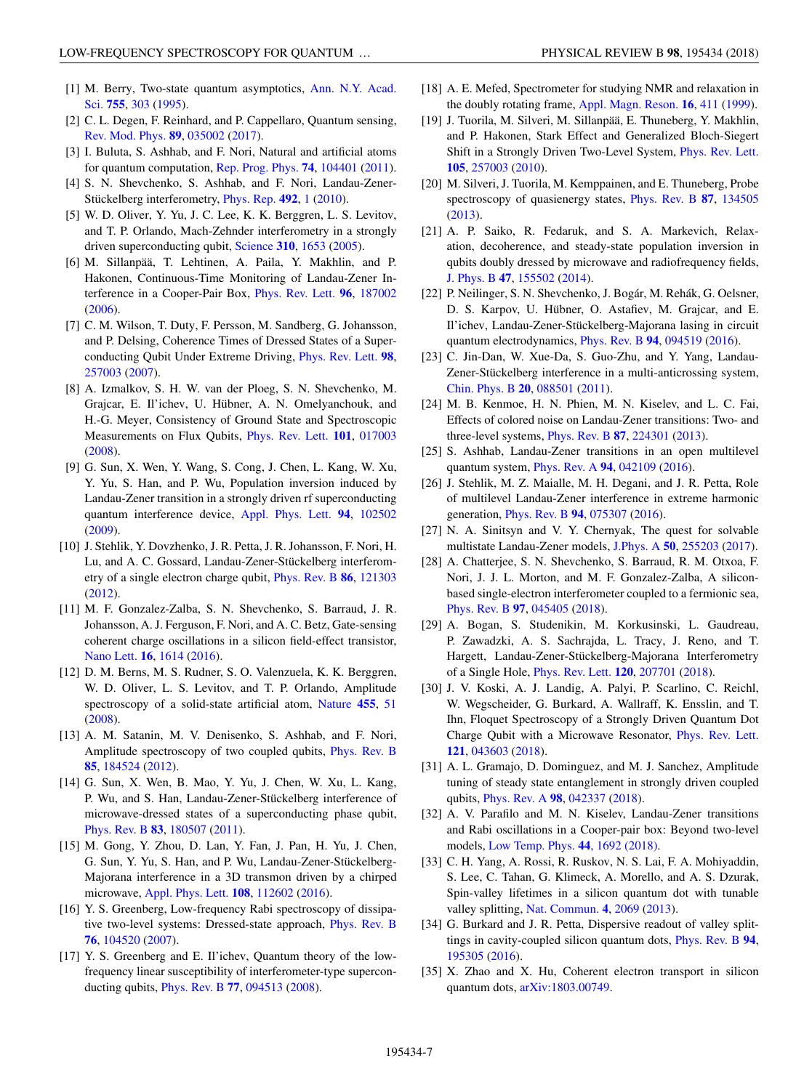- <span id="page-6-0"></span>[1] [M. Berry, Two-state quantum asymptotics,](https://doi.org/10.1111/j.1749-6632.1995.tb38974.x) Ann. N.Y. Acad. Sci. **[755](https://doi.org/10.1111/j.1749-6632.1995.tb38974.x)**, [303](https://doi.org/10.1111/j.1749-6632.1995.tb38974.x) [\(1995\)](https://doi.org/10.1111/j.1749-6632.1995.tb38974.x).
- [2] C. L. Degen, F. Reinhard, and P. Cappellaro, Quantum sensing, [Rev. Mod. Phys.](https://doi.org/10.1103/RevModPhys.89.035002) **[89](https://doi.org/10.1103/RevModPhys.89.035002)**, [035002](https://doi.org/10.1103/RevModPhys.89.035002) [\(2017\)](https://doi.org/10.1103/RevModPhys.89.035002).
- [3] I. Buluta, S. Ashhab, and F. Nori, Natural and artificial atoms for quantum computation, [Rep. Prog. Phys.](https://doi.org/10.1088/0034-4885/74/10/104401) **[74](https://doi.org/10.1088/0034-4885/74/10/104401)**, [104401](https://doi.org/10.1088/0034-4885/74/10/104401) [\(2011\)](https://doi.org/10.1088/0034-4885/74/10/104401).
- [4] S. N. Shevchenko, S. Ashhab, and F. Nori, Landau-Zener-Stückelberg interferometry, [Phys. Rep.](https://doi.org/10.1016/j.physrep.2010.03.002) **[492](https://doi.org/10.1016/j.physrep.2010.03.002)**, [1](https://doi.org/10.1016/j.physrep.2010.03.002) [\(2010\)](https://doi.org/10.1016/j.physrep.2010.03.002).
- [5] W. D. Oliver, Y. Yu, J. C. Lee, K. K. Berggren, L. S. Levitov, and T. P. Orlando, Mach-Zehnder interferometry in a strongly driven superconducting qubit, [Science](https://doi.org/10.1126/science.1119678) **[310](https://doi.org/10.1126/science.1119678)**, [1653](https://doi.org/10.1126/science.1119678) [\(2005\)](https://doi.org/10.1126/science.1119678).
- [6] M. Sillanpää, T. Lehtinen, A. Paila, Y. Makhlin, and P. Hakonen, Continuous-Time Monitoring of Landau-Zener Interference in a Cooper-Pair Box, [Phys. Rev. Lett.](https://doi.org/10.1103/PhysRevLett.96.187002) **[96](https://doi.org/10.1103/PhysRevLett.96.187002)**, [187002](https://doi.org/10.1103/PhysRevLett.96.187002) [\(2006\)](https://doi.org/10.1103/PhysRevLett.96.187002).
- [7] C. M. Wilson, T. Duty, F. Persson, M. Sandberg, G. Johansson, and P. Delsing, Coherence Times of Dressed States of a Superconducting Qubit Under Extreme Driving, [Phys. Rev. Lett.](https://doi.org/10.1103/PhysRevLett.98.257003) **[98](https://doi.org/10.1103/PhysRevLett.98.257003)**, [257003](https://doi.org/10.1103/PhysRevLett.98.257003) [\(2007\)](https://doi.org/10.1103/PhysRevLett.98.257003).
- [8] A. Izmalkov, S. H. W. van der Ploeg, S. N. Shevchenko, M. Grajcar, E. Il'ichev, U. Hübner, A. N. Omelyanchouk, and H.-G. Meyer, Consistency of Ground State and Spectroscopic Measurements on Flux Qubits, [Phys. Rev. Lett.](https://doi.org/10.1103/PhysRevLett.101.017003) **[101](https://doi.org/10.1103/PhysRevLett.101.017003)**, [017003](https://doi.org/10.1103/PhysRevLett.101.017003) [\(2008\)](https://doi.org/10.1103/PhysRevLett.101.017003).
- [9] G. Sun, X. Wen, Y. Wang, S. Cong, J. Chen, L. Kang, W. Xu, Y. Yu, S. Han, and P. Wu, Population inversion induced by Landau-Zener transition in a strongly driven rf superconducting quantum interference device, [Appl. Phys. Lett.](https://doi.org/10.1063/1.3093823) **[94](https://doi.org/10.1063/1.3093823)**, [102502](https://doi.org/10.1063/1.3093823) [\(2009\)](https://doi.org/10.1063/1.3093823).
- [10] J. Stehlik, Y. Dovzhenko, J. R. Petta, J. R. Johansson, F. Nori, H. Lu, and A. C. Gossard, Landau-Zener-Stückelberg interferometry of a single electron charge qubit, [Phys. Rev. B](https://doi.org/10.1103/PhysRevB.86.121303) **[86](https://doi.org/10.1103/PhysRevB.86.121303)**, [121303](https://doi.org/10.1103/PhysRevB.86.121303) [\(2012\)](https://doi.org/10.1103/PhysRevB.86.121303).
- [11] M. F. Gonzalez-Zalba, S. N. Shevchenko, S. Barraud, J. R. Johansson, A. J. Ferguson, F. Nori, and A. C. Betz, Gate-sensing coherent charge oscillations in a silicon field-effect transistor, [Nano Lett.](https://doi.org/10.1021/acs.nanolett.5b04356) **[16](https://doi.org/10.1021/acs.nanolett.5b04356)**, [1614](https://doi.org/10.1021/acs.nanolett.5b04356) [\(2016\)](https://doi.org/10.1021/acs.nanolett.5b04356).
- [12] D. M. Berns, M. S. Rudner, S. O. Valenzuela, K. K. Berggren, W. D. Oliver, L. S. Levitov, and T. P. Orlando, Amplitude spectroscopy of a solid-state artificial atom, [Nature](https://doi.org/10.1038/nature07262) **[455](https://doi.org/10.1038/nature07262)**, [51](https://doi.org/10.1038/nature07262) [\(2008\)](https://doi.org/10.1038/nature07262).
- [13] A. M. Satanin, M. V. Denisenko, S. Ashhab, and F. Nori, Amplitude spectroscopy of two coupled qubits, [Phys. Rev. B](https://doi.org/10.1103/PhysRevB.85.184524) **[85](https://doi.org/10.1103/PhysRevB.85.184524)**, [184524](https://doi.org/10.1103/PhysRevB.85.184524) [\(2012\)](https://doi.org/10.1103/PhysRevB.85.184524).
- [14] G. Sun, X. Wen, B. Mao, Y. Yu, J. Chen, W. Xu, L. Kang, P. Wu, and S. Han, Landau-Zener-Stückelberg interference of microwave-dressed states of a superconducting phase qubit, [Phys. Rev. B](https://doi.org/10.1103/PhysRevB.83.180507) **[83](https://doi.org/10.1103/PhysRevB.83.180507)**, [180507](https://doi.org/10.1103/PhysRevB.83.180507) [\(2011\)](https://doi.org/10.1103/PhysRevB.83.180507).
- [15] M. Gong, Y. Zhou, D. Lan, Y. Fan, J. Pan, H. Yu, J. Chen, G. Sun, Y. Yu, S. Han, and P. Wu, Landau-Zener-Stückelberg-Majorana interference in a 3D transmon driven by a chirped microwave, [Appl. Phys. Lett.](https://doi.org/10.1063/1.4944327) **[108](https://doi.org/10.1063/1.4944327)**, [112602](https://doi.org/10.1063/1.4944327) [\(2016\)](https://doi.org/10.1063/1.4944327).
- [16] Y. S. Greenberg, Low-frequency Rabi spectroscopy of dissipative two-level systems: Dressed-state approach, [Phys. Rev. B](https://doi.org/10.1103/PhysRevB.76.104520) **[76](https://doi.org/10.1103/PhysRevB.76.104520)**, [104520](https://doi.org/10.1103/PhysRevB.76.104520) [\(2007\)](https://doi.org/10.1103/PhysRevB.76.104520).
- [17] Y. S. Greenberg and E. Il'ichev, Quantum theory of the lowfrequency linear susceptibility of interferometer-type superconducting qubits, [Phys. Rev. B](https://doi.org/10.1103/PhysRevB.77.094513) **[77](https://doi.org/10.1103/PhysRevB.77.094513)**, [094513](https://doi.org/10.1103/PhysRevB.77.094513) [\(2008\)](https://doi.org/10.1103/PhysRevB.77.094513).
- [18] A. E. Mefed, Spectrometer for studying NMR and relaxation in the doubly rotating frame, [Appl. Magn. Reson.](https://doi.org/10.1007/BF03161928) **[16](https://doi.org/10.1007/BF03161928)**, [411](https://doi.org/10.1007/BF03161928) [\(1999\)](https://doi.org/10.1007/BF03161928).
- [19] J. Tuorila, M. Silveri, M. Sillanpää, E. Thuneberg, Y. Makhlin, and P. Hakonen, Stark Effect and Generalized Bloch-Siegert Shift in a Strongly Driven Two-Level System, [Phys. Rev. Lett.](https://doi.org/10.1103/PhysRevLett.105.257003) **[105](https://doi.org/10.1103/PhysRevLett.105.257003)**, [257003](https://doi.org/10.1103/PhysRevLett.105.257003) [\(2010\)](https://doi.org/10.1103/PhysRevLett.105.257003).
- [20] M. Silveri, J. Tuorila, M. Kemppainen, and E. Thuneberg, Probe spectroscopy of quasienergy states, [Phys. Rev. B](https://doi.org/10.1103/PhysRevB.87.134505) **[87](https://doi.org/10.1103/PhysRevB.87.134505)**, [134505](https://doi.org/10.1103/PhysRevB.87.134505) [\(2013\)](https://doi.org/10.1103/PhysRevB.87.134505).
- [21] A. P. Saiko, R. Fedaruk, and S. A. Markevich, Relaxation, decoherence, and steady-state population inversion in qubits doubly dressed by microwave and radiofrequency fields, [J. Phys. B](https://doi.org/10.1088/0953-4075/47/15/155502) **[47](https://doi.org/10.1088/0953-4075/47/15/155502)**, [155502](https://doi.org/10.1088/0953-4075/47/15/155502) [\(2014\)](https://doi.org/10.1088/0953-4075/47/15/155502).
- [22] P. Neilinger, S. N. Shevchenko, J. Bogár, M. Rehák, G. Oelsner, D. S. Karpov, U. Hübner, O. Astafiev, M. Grajcar, and E. Il'ichev, Landau-Zener-Stückelberg-Majorana lasing in circuit quantum electrodynamics, [Phys. Rev. B](https://doi.org/10.1103/PhysRevB.94.094519) **[94](https://doi.org/10.1103/PhysRevB.94.094519)**, [094519](https://doi.org/10.1103/PhysRevB.94.094519) [\(2016\)](https://doi.org/10.1103/PhysRevB.94.094519).
- [23] C. Jin-Dan, W. Xue-Da, S. Guo-Zhu, and Y. Yang, Landau-Zener-Stückelberg interference in a multi-anticrossing system, [Chin. Phys. B](https://doi.org/10.1088/1674-1056/20/8/088501) **[20](https://doi.org/10.1088/1674-1056/20/8/088501)**, [088501](https://doi.org/10.1088/1674-1056/20/8/088501) [\(2011\)](https://doi.org/10.1088/1674-1056/20/8/088501).
- [24] M. B. Kenmoe, H. N. Phien, M. N. Kiselev, and L. C. Fai, Effects of colored noise on Landau-Zener transitions: Two- and three-level systems, [Phys. Rev. B](https://doi.org/10.1103/PhysRevB.87.224301) **[87](https://doi.org/10.1103/PhysRevB.87.224301)**, [224301](https://doi.org/10.1103/PhysRevB.87.224301) [\(2013\)](https://doi.org/10.1103/PhysRevB.87.224301).
- [25] S. Ashhab, Landau-Zener transitions in an open multilevel quantum system, [Phys. Rev. A](https://doi.org/10.1103/PhysRevA.94.042109) **[94](https://doi.org/10.1103/PhysRevA.94.042109)**, [042109](https://doi.org/10.1103/PhysRevA.94.042109) [\(2016\)](https://doi.org/10.1103/PhysRevA.94.042109).
- [26] J. Stehlik, M. Z. Maialle, M. H. Degani, and J. R. Petta, Role of multilevel Landau-Zener interference in extreme harmonic generation, [Phys. Rev. B](https://doi.org/10.1103/PhysRevB.94.075307) **[94](https://doi.org/10.1103/PhysRevB.94.075307)**, [075307](https://doi.org/10.1103/PhysRevB.94.075307) [\(2016\)](https://doi.org/10.1103/PhysRevB.94.075307).
- [27] N. A. Sinitsyn and V. Y. Chernyak, The quest for solvable multistate Landau-Zener models, [J.Phys. A](https://doi.org/10.1088/1751-8121/aa6800) **[50](https://doi.org/10.1088/1751-8121/aa6800)**, [255203](https://doi.org/10.1088/1751-8121/aa6800) [\(2017\)](https://doi.org/10.1088/1751-8121/aa6800).
- [28] A. Chatterjee, S. N. Shevchenko, S. Barraud, R. M. Otxoa, F. Nori, J. J. L. Morton, and M. F. Gonzalez-Zalba, A siliconbased single-electron interferometer coupled to a fermionic sea, [Phys. Rev. B](https://doi.org/10.1103/PhysRevB.97.045405) **[97](https://doi.org/10.1103/PhysRevB.97.045405)**, [045405](https://doi.org/10.1103/PhysRevB.97.045405) [\(2018\)](https://doi.org/10.1103/PhysRevB.97.045405).
- [29] A. Bogan, S. Studenikin, M. Korkusinski, L. Gaudreau, P. Zawadzki, A. S. Sachrajda, L. Tracy, J. Reno, and T. Hargett, Landau-Zener-Stückelberg-Majorana Interferometry of a Single Hole, [Phys. Rev. Lett.](https://doi.org/10.1103/PhysRevLett.120.207701) **[120](https://doi.org/10.1103/PhysRevLett.120.207701)**, [207701](https://doi.org/10.1103/PhysRevLett.120.207701) [\(2018\)](https://doi.org/10.1103/PhysRevLett.120.207701).
- [30] J. V. Koski, A. J. Landig, A. Palyi, P. Scarlino, C. Reichl, W. Wegscheider, G. Burkard, A. Wallraff, K. Ensslin, and T. Ihn, Floquet Spectroscopy of a Strongly Driven Quantum Dot Charge Qubit with a Microwave Resonator, [Phys. Rev. Lett.](https://doi.org/10.1103/PhysRevLett.121.043603) **[121](https://doi.org/10.1103/PhysRevLett.121.043603)**, [043603](https://doi.org/10.1103/PhysRevLett.121.043603) [\(2018\)](https://doi.org/10.1103/PhysRevLett.121.043603).
- [31] A. L. Gramajo, D. Dominguez, and M. J. Sanchez, Amplitude tuning of steady state entanglement in strongly driven coupled qubits, [Phys. Rev. A](https://doi.org/10.1103/PhysRevA.98.042337) **[98](https://doi.org/10.1103/PhysRevA.98.042337)**, [042337](https://doi.org/10.1103/PhysRevA.98.042337) [\(2018\)](https://doi.org/10.1103/PhysRevA.98.042337).
- [32] A. V. Parafilo and M. N. Kiselev, Landau-Zener transitions and Rabi oscillations in a Cooper-pair box: Beyond two-level models, [Low Temp. Phys.](https://fnte.ilt.kharkov.ua/main.php?page=10) **44**, 1692 (2018).
- [33] C. H. Yang, A. Rossi, R. Ruskov, N. S. Lai, F. A. Mohiyaddin, S. Lee, C. Tahan, G. Klimeck, A. Morello, and A. S. Dzurak, Spin-valley lifetimes in a silicon quantum dot with tunable valley splitting, [Nat. Commun.](https://doi.org/10.1038/ncomms3069) **[4](https://doi.org/10.1038/ncomms3069)**, [2069](https://doi.org/10.1038/ncomms3069) [\(2013\)](https://doi.org/10.1038/ncomms3069).
- [34] G. Burkard and J. R. Petta, Dispersive readout of valley splittings in cavity-coupled silicon quantum dots, [Phys. Rev. B](https://doi.org/10.1103/PhysRevB.94.195305) **[94](https://doi.org/10.1103/PhysRevB.94.195305)**, [195305](https://doi.org/10.1103/PhysRevB.94.195305) [\(2016\)](https://doi.org/10.1103/PhysRevB.94.195305).
- [35] X. Zhao and X. Hu, Coherent electron transport in silicon quantum dots, [arXiv:1803.00749.](http://arxiv.org/abs/arXiv:1803.00749)